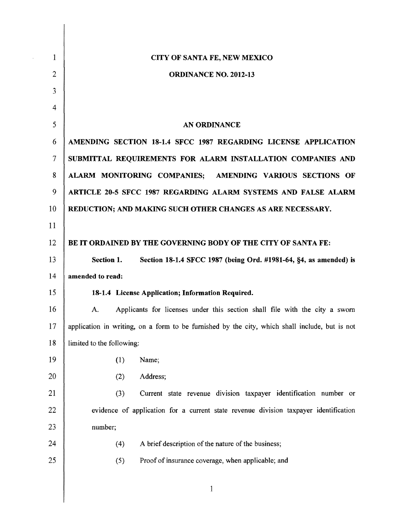| $\mathbf{1}$   | CITY OF SANTA FE, NEW MEXICO                                                                   |  |  |  |  |  |  |  |
|----------------|------------------------------------------------------------------------------------------------|--|--|--|--|--|--|--|
| $\overline{2}$ | <b>ORDINANCE NO. 2012-13</b>                                                                   |  |  |  |  |  |  |  |
| $\mathfrak{Z}$ |                                                                                                |  |  |  |  |  |  |  |
| 4              |                                                                                                |  |  |  |  |  |  |  |
| 5              | AN ORDINANCE                                                                                   |  |  |  |  |  |  |  |
| 6              | AMENDING SECTION 18-1.4 SFCC 1987 REGARDING LICENSE APPLICATION                                |  |  |  |  |  |  |  |
| $\tau$         | SUBMITTAL REQUIREMENTS FOR ALARM INSTALLATION COMPANIES AND                                    |  |  |  |  |  |  |  |
| 8              | ALARM MONITORING COMPANIES; AMENDING VARIOUS SECTIONS OF                                       |  |  |  |  |  |  |  |
| 9              | ARTICLE 20-5 SFCC 1987 REGARDING ALARM SYSTEMS AND FALSE ALARM                                 |  |  |  |  |  |  |  |
| 10             | REDUCTION; AND MAKING SUCH OTHER CHANGES AS ARE NECESSARY.                                     |  |  |  |  |  |  |  |
| 11             |                                                                                                |  |  |  |  |  |  |  |
| 12             | BE IT ORDAINED BY THE GOVERNING BODY OF THE CITY OF SANTA FE:                                  |  |  |  |  |  |  |  |
| 13             | Section 1.<br>Section 18-1.4 SFCC 1987 (being Ord. #1981-64, §4, as amended) is                |  |  |  |  |  |  |  |
| 14             | amended to read:                                                                               |  |  |  |  |  |  |  |
| 15             | 18-1.4 License Application; Information Required.                                              |  |  |  |  |  |  |  |
| 16             | Applicants for licenses under this section shall file with the city a sworn<br>A.              |  |  |  |  |  |  |  |
| 17             | application in writing, on a form to be furnished by the city, which shall include, but is not |  |  |  |  |  |  |  |
| 18             | limited to the following:                                                                      |  |  |  |  |  |  |  |
| 19             | (1)<br>Name;                                                                                   |  |  |  |  |  |  |  |
| 20             | (2)<br>Address;                                                                                |  |  |  |  |  |  |  |
| 21             | (3)<br>Current state revenue division taxpayer identification number or                        |  |  |  |  |  |  |  |
| 22             | evidence of application for a current state revenue division taxpayer identification           |  |  |  |  |  |  |  |
| 23             | number;                                                                                        |  |  |  |  |  |  |  |
| 24             | A brief description of the nature of the business;<br>(4)                                      |  |  |  |  |  |  |  |
| 25             | Proof of insurance coverage, when applicable; and<br>(5)                                       |  |  |  |  |  |  |  |
|                |                                                                                                |  |  |  |  |  |  |  |

 $\overline{\phantom{a}}$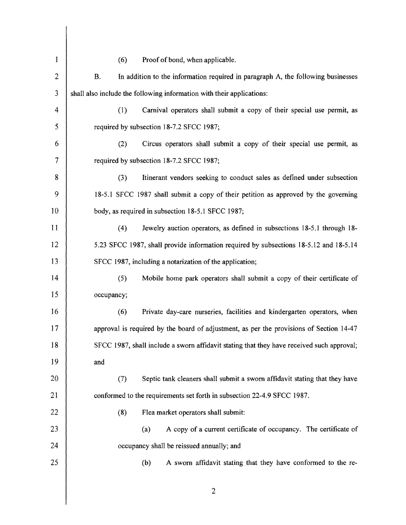| $\mathbf{1}$   | (6)<br>Proof of bond, when applicable.                                                        |  |  |  |  |
|----------------|-----------------------------------------------------------------------------------------------|--|--|--|--|
| $\overline{c}$ | In addition to the information required in paragraph A, the following businesses<br><b>B.</b> |  |  |  |  |
| 3              | shall also include the following information with their applications:                         |  |  |  |  |
| 4              | (1)<br>Carnival operators shall submit a copy of their special use permit, as                 |  |  |  |  |
| 5              | required by subsection 18-7.2 SFCC 1987;                                                      |  |  |  |  |
| 6              | (2)<br>Circus operators shall submit a copy of their special use permit, as                   |  |  |  |  |
| 7              | required by subsection 18-7.2 SFCC 1987;                                                      |  |  |  |  |
| 8              | (3)<br>Itinerant vendors seeking to conduct sales as defined under subsection                 |  |  |  |  |
| 9              | 18-5.1 SFCC 1987 shall submit a copy of their petition as approved by the governing           |  |  |  |  |
| 10             | body, as required in subsection 18-5.1 SFCC 1987;                                             |  |  |  |  |
| 11             | Jewelry auction operators, as defined in subsections 18-5.1 through 18-<br>(4)                |  |  |  |  |
| 12             | 5.23 SFCC 1987, shall provide information required by subsections 18-5.12 and 18-5.14         |  |  |  |  |
| 13             | SFCC 1987, including a notarization of the application;                                       |  |  |  |  |
| 14             | (5)<br>Mobile home park operators shall submit a copy of their certificate of                 |  |  |  |  |
| 15             | occupancy;                                                                                    |  |  |  |  |
| 16             | (6)<br>Private day-care nurseries, facilities and kindergarten operators, when                |  |  |  |  |
| 17             | approval is required by the board of adjustment, as per the provisions of Section 14-47       |  |  |  |  |
| 18             | SFCC 1987, shall include a sworn affidavit stating that they have received such approval;     |  |  |  |  |
| 19             | and                                                                                           |  |  |  |  |
| 20             | Septic tank cleaners shall submit a sworn affidavit stating that they have<br>(7)             |  |  |  |  |
| 21             | conformed to the requirements set forth in subsection 22-4.9 SFCC 1987.                       |  |  |  |  |
| 22             | (8)<br>Flea market operators shall submit:                                                    |  |  |  |  |
| 23             | A copy of a current certificate of occupancy. The certificate of<br>(a)                       |  |  |  |  |
| 24             | occupancy shall be reissued annually; and                                                     |  |  |  |  |
| 25             | (b)<br>A sworn affidavit stating that they have conformed to the re-                          |  |  |  |  |
|                |                                                                                               |  |  |  |  |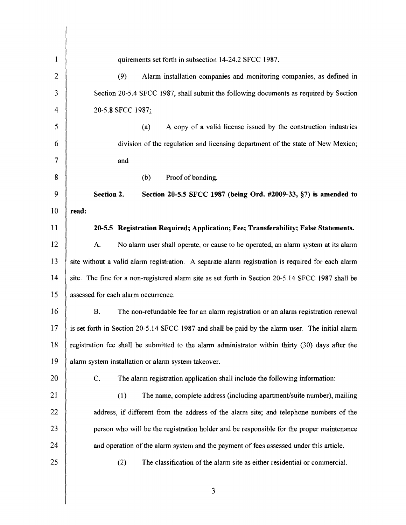| 1              | quirements set forth in subsection 14-24.2 SFCC 1987.                                             |  |  |  |  |
|----------------|---------------------------------------------------------------------------------------------------|--|--|--|--|
| $\overline{c}$ | Alarm installation companies and monitoring companies, as defined in<br>(9)                       |  |  |  |  |
| 3              | Section 20-5.4 SFCC 1987, shall submit the following documents as required by Section             |  |  |  |  |
| 4              | 20-5.8 SFCC 1987:                                                                                 |  |  |  |  |
| 5              | A copy of a valid license issued by the construction industries<br>(a)                            |  |  |  |  |
| 6              | division of the regulation and licensing department of the state of New Mexico;                   |  |  |  |  |
| 7              | and                                                                                               |  |  |  |  |
| 8              | Proof of bonding.<br>(b)                                                                          |  |  |  |  |
| 9              | Section 2.<br>Section 20-5.5 SFCC 1987 (being Ord. #2009-33, §7) is amended to                    |  |  |  |  |
| 10             | read:                                                                                             |  |  |  |  |
| 11             | 20-5.5 Registration Required; Application; Fee; Transferability; False Statements.                |  |  |  |  |
| 12             | No alarm user shall operate, or cause to be operated, an alarm system at its alarm<br>A.          |  |  |  |  |
| 13             | site without a valid alarm registration. A separate alarm registration is required for each alarm |  |  |  |  |
| 14             | site. The fine for a non-registered alarm site as set forth in Section 20-5.14 SFCC 1987 shall be |  |  |  |  |
| 15             | assessed for each alarm occurrence.                                                               |  |  |  |  |
| 16             | The non-refundable fee for an alarm registration or an alarm registration renewal<br>B.           |  |  |  |  |
| 17             | is set forth in Section 20-5.14 SFCC 1987 and shall be paid by the alarm user. The initial alarm  |  |  |  |  |
| 18             | registration fee shall be submitted to the alarm administrator within thirty (30) days after the  |  |  |  |  |
| 19             | alarm system installation or alarm system takeover.                                               |  |  |  |  |
| 20             | C.<br>The alarm registration application shall include the following information:                 |  |  |  |  |
| 21             | The name, complete address (including apartment/suite number), mailing<br>(1)                     |  |  |  |  |
| 22             | address, if different from the address of the alarm site; and telephone numbers of the            |  |  |  |  |
| 23             | person who will be the registration holder and be responsible for the proper maintenance          |  |  |  |  |
| 24             | and operation of the alarm system and the payment of fees assessed under this article.            |  |  |  |  |
| 25             | The classification of the alarm site as either residential or commercial.<br>(2)                  |  |  |  |  |
|                |                                                                                                   |  |  |  |  |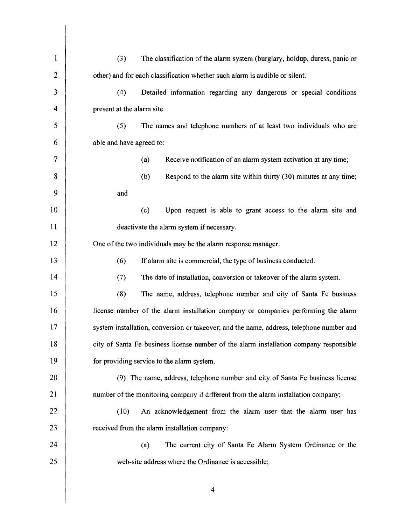| 1              | The classification of the alarm system (burglary, holdup, duress, panic or<br>(3)        |  |  |  |  |
|----------------|------------------------------------------------------------------------------------------|--|--|--|--|
| $\overline{2}$ | other) and for each classification whether such alarm is audible or silent.              |  |  |  |  |
| 3              | Detailed information regarding any dangerous or special conditions<br>(4)                |  |  |  |  |
| 4              | present at the alarm site.                                                               |  |  |  |  |
| 5              | (5)<br>The names and telephone numbers of at least two individuals who are               |  |  |  |  |
| 6              | able and have agreed to:                                                                 |  |  |  |  |
| 7              | Receive notification of an alarm system activation at any time;<br>(a)                   |  |  |  |  |
| 8              | (b)<br>Respond to the alarm site within thirty (30) minutes at any time;                 |  |  |  |  |
| 9              | and                                                                                      |  |  |  |  |
| 10             | (c)<br>Upon request is able to grant access to the alarm site and                        |  |  |  |  |
| 11             | deactivate the alarm system if necessary.                                                |  |  |  |  |
| 12             | One of the two individuals may be the alarm response manager.                            |  |  |  |  |
| 13             | (6)<br>If alarm site is commercial, the type of business conducted.                      |  |  |  |  |
| 14             | (7)<br>The date of installation, conversion or takeover of the alarm system.             |  |  |  |  |
| 15             | (8)<br>The name, address, telephone number and city of Santa Fe business                 |  |  |  |  |
| 16             | license number of the alarm installation company or companies performing the alarm       |  |  |  |  |
| 17             | system installation, conversion or takeover; and the name, address, telephone number and |  |  |  |  |
| 18             | city of Santa Fe business license number of the alarm installation company responsible   |  |  |  |  |
| 19             | for providing service to the alarm system.                                               |  |  |  |  |
| 20             | (9) The name, address, telephone number and city of Santa Fe business license            |  |  |  |  |
| 21             | number of the monitoring company if different from the alarm installation company;       |  |  |  |  |
| 22             | (10)<br>An acknowledgement from the alarm user that the alarm user has                   |  |  |  |  |
| 23             | received from the alarm installation company:                                            |  |  |  |  |
| 24             | The current city of Santa Fe Alarm System Ordinance or the<br>(a)                        |  |  |  |  |
| 25             | web-site address where the Ordinance is accessible;                                      |  |  |  |  |
|                |                                                                                          |  |  |  |  |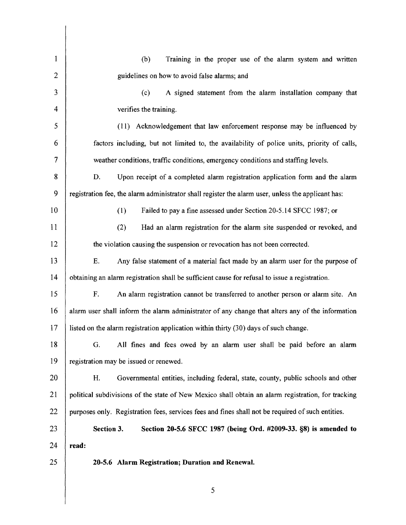| 1              | Training in the proper use of the alarm system and written<br>(b)                                  |  |  |  |  |
|----------------|----------------------------------------------------------------------------------------------------|--|--|--|--|
| $\overline{2}$ | guidelines on how to avoid false alarms; and                                                       |  |  |  |  |
| 3              | (c)<br>A signed statement from the alarm installation company that                                 |  |  |  |  |
| 4              | verifies the training.                                                                             |  |  |  |  |
| 5              | (11) Acknowledgement that law enforcement response may be influenced by                            |  |  |  |  |
| 6              | factors including, but not limited to, the availability of police units, priority of calls,        |  |  |  |  |
| 7              | weather conditions, traffic conditions, emergency conditions and staffing levels.                  |  |  |  |  |
| 8              | D.<br>Upon receipt of a completed alarm registration application form and the alarm                |  |  |  |  |
| 9              | registration fee, the alarm administrator shall register the alarm user, unless the applicant has: |  |  |  |  |
| 10             | Failed to pay a fine assessed under Section 20-5.14 SFCC 1987; or<br>(1)                           |  |  |  |  |
| 11             | (2)<br>Had an alarm registration for the alarm site suspended or revoked, and                      |  |  |  |  |
| 12             | the violation causing the suspension or revocation has not been corrected.                         |  |  |  |  |
| 13             | Any false statement of a material fact made by an alarm user for the purpose of<br>E.              |  |  |  |  |
| 14             | obtaining an alarm registration shall be sufficient cause for refusal to issue a registration.     |  |  |  |  |
| 15             | F.<br>An alarm registration cannot be transferred to another person or alarm site. An              |  |  |  |  |
| 16             | alarm user shall inform the alarm administrator of any change that alters any of the information   |  |  |  |  |
| 17             | listed on the alarm registration application within thirty (30) days of such change.               |  |  |  |  |
| 18             | G. All fines and fees owed by an alarm user shall be paid before an alarm                          |  |  |  |  |
| 19             | registration may be issued or renewed.                                                             |  |  |  |  |
| 20             | Governmental entities, including federal, state, county, public schools and other<br>H.            |  |  |  |  |
| 21             | political subdivisions of the state of New Mexico shall obtain an alarm registration, for tracking |  |  |  |  |
| 22             | purposes only. Registration fees, services fees and fines shall not be required of such entities.  |  |  |  |  |
| 23             | Section 3.<br>Section 20-5.6 SFCC 1987 (being Ord. #2009-33. §8) is amended to                     |  |  |  |  |
| 24             | read:                                                                                              |  |  |  |  |
| 25             | 20-5.6 Alarm Registration; Duration and Renewal.                                                   |  |  |  |  |
|                |                                                                                                    |  |  |  |  |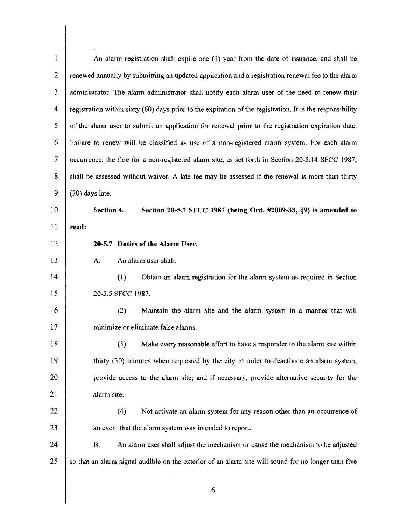| $\mathbf{1}$   | An alarm registration shall expire one (1) year from the date of issuance, and shall be                   |  |  |  |  |
|----------------|-----------------------------------------------------------------------------------------------------------|--|--|--|--|
| $\overline{2}$ | renewed annually by submitting an updated application and a registration renewal fee to the alarm         |  |  |  |  |
| 3              | administrator. The alarm administrator shall notify each alarm user of the need to renew their            |  |  |  |  |
| 4              | registration within sixty (60) days prior to the expiration of the registration. It is the responsibility |  |  |  |  |
| 5              | of the alarm user to submit an application for renewal prior to the registration expiration date.         |  |  |  |  |
| 6              | Failure to renew will be classified as use of a non-registered alarm system. For each alarm               |  |  |  |  |
| 7              | occurrence, the fine for a non-registered alarm site, as set forth in Section 20-5.14 SFCC 1987,          |  |  |  |  |
| 8              | shall be assessed without waiver. A late fee may be assessed if the renewal is more than thirty           |  |  |  |  |
| 9              | (30) days late.                                                                                           |  |  |  |  |
| 10             | Section 4.<br>Section 20-5.7 SFCC 1987 (being Ord. #2009-33, §9) is amended to                            |  |  |  |  |
| 11             | read:                                                                                                     |  |  |  |  |
| 12             | 20-5.7 Duties of the Alarm User.                                                                          |  |  |  |  |
| 13             | An alarm user shall:<br>A.                                                                                |  |  |  |  |
| 14             | Obtain an alarm registration for the alarm system as required in Section<br>(1)                           |  |  |  |  |
| 15             | 20-5.5 SFCC 1987.                                                                                         |  |  |  |  |
| 16             | (2)<br>Maintain the alarm site and the alarm system in a manner that will                                 |  |  |  |  |
| 17             | minimize or eliminate false alarms.                                                                       |  |  |  |  |
| 18             | Make every reasonable effort to have a responder to the alarm site within<br>(3)                          |  |  |  |  |
| 19             | thirty (30) minutes when requested by the city in order to deactivate an alarm system,                    |  |  |  |  |
| 20             | provide access to the alarm site; and if necessary, provide alternative security for the                  |  |  |  |  |
| 21             | alarm site.                                                                                               |  |  |  |  |
| 22             | Not activate an alarm system for any reason other than an occurrence of<br>(4)                            |  |  |  |  |
| 23             | an event that the alarm system was intended to report.                                                    |  |  |  |  |
| 24             | An alarm user shall adjust the mechanism or cause the mechanism to be adjusted<br>Β.                      |  |  |  |  |
| 25             | so that an alarm signal audible on the exterior of an alarm site will sound for no longer than five       |  |  |  |  |
|                |                                                                                                           |  |  |  |  |
|                | 6                                                                                                         |  |  |  |  |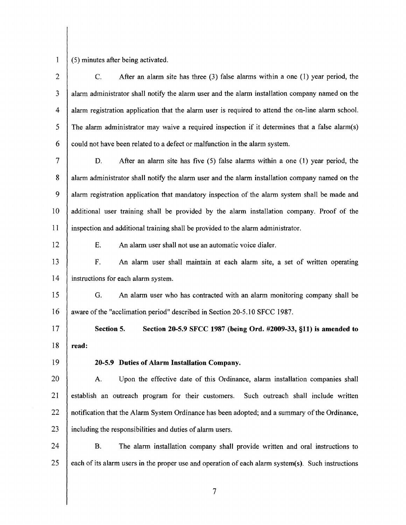(5) minutes after being activated.

2 3 4 5 6 7 8 9 10 11 12 13 14 15 16 17 18 19 20 21 22 23 24 25 C. After an alarm site has three (3) false alarms within a one (1) year period, the alarm administrator shall notify the alarm user and the alarm installation company named on the alarm registration application that the alarm user is required to attend the on-line alarm school. The alarm administrator may waive a required inspection if it determines that a false alarm(s) could not have been related to a defect or malfunction in the alarm system. D. After an alarm site has five (5) false alarms within a one (1) year period, the alarm administrator shall notify the alarm user and the alarm installation company named on the alarm registration application that mandatory inspection of the alarm system shall be made and additional user training shall be provided by the alarm installation company. Proof of the inspection and additional training shall be provided to the alarm administrator. E. An alarm user shall not use an automatic voice dialer. F. An alarm user shall maintain at each alarm site, a set of written operating instructions for each alarm system. G. An alarm user who has contracted with an alarm monitoring company shall be aware of the "acclimation period" described in Section 20-5.10 SFCC 1987. Section 5. Section 20-5.9 SFCC 1987 (being Ord. #2009-33, §11) is amended to read: 20-5.9 Duties of Alarm Installation Company. A. Upon the effective date of this Ordinance, alarm installation companies shall establish an outreach program for their customers. Such outreach shall include written notification that the Alarm System Ordinance has been adopted; and a summary of the Ordinance, including the responsibilities and duties of alarm users. B. The alarm installation company shall provide written and oral instructions to each of its alarm users in the proper use and operation of each alarm system(s). Such instructions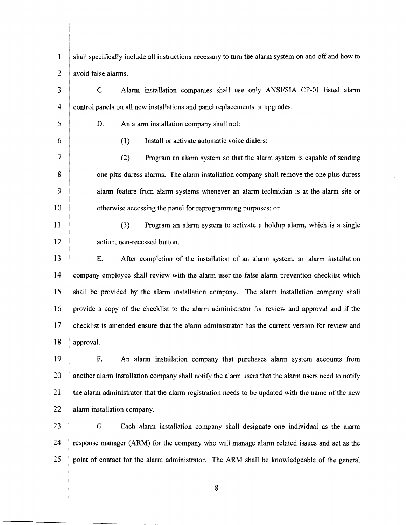| $\mathbf{1}$   | shall specifically include all instructions necessary to turn the alarm system on and off and how to |  |  |  |
|----------------|------------------------------------------------------------------------------------------------------|--|--|--|
| $\overline{2}$ | avoid false alarms.                                                                                  |  |  |  |
| 3              | Alarm installation companies shall use only ANSI/SIA CP-01 listed alarm<br>C.                        |  |  |  |
| $\overline{4}$ | control panels on all new installations and panel replacements or upgrades.                          |  |  |  |
| 5              | An alarm installation company shall not:<br>D.                                                       |  |  |  |
| 6              | Install or activate automatic voice dialers;<br>(1)                                                  |  |  |  |
| 7              | Program an alarm system so that the alarm system is capable of sending<br>(2)                        |  |  |  |
| 8              | one plus duress alarms. The alarm installation company shall remove the one plus duress              |  |  |  |
| 9              | alarm feature from alarm systems whenever an alarm technician is at the alarm site or                |  |  |  |
| 10             | otherwise accessing the panel for reprogramming purposes; or                                         |  |  |  |
| 11             | (3)<br>Program an alarm system to activate a holdup alarm, which is a single                         |  |  |  |
| 12             | action, non-recessed button.                                                                         |  |  |  |
| 13             | E.<br>After completion of the installation of an alarm system, an alarm installation                 |  |  |  |
| 14             | company employee shall review with the alarm user the false alarm prevention checklist which         |  |  |  |
| 15             | shall be provided by the alarm installation company. The alarm installation company shall            |  |  |  |
| 16             | provide a copy of the checklist to the alarm administrator for review and approval and if the        |  |  |  |
| 17             | checklist is amended ensure that the alarm administrator has the current version for review and      |  |  |  |
| 18             | approval.                                                                                            |  |  |  |
| 19             | F.<br>An alarm installation company that purchases alarm system accounts from                        |  |  |  |
| 20             | another alarm installation company shall notify the alarm users that the alarm users need to notify  |  |  |  |
| 21             | the alarm administrator that the alarm registration needs to be updated with the name of the new     |  |  |  |
| 22             | alarm installation company.                                                                          |  |  |  |
| 23             | G.<br>Each alarm installation company shall designate one individual as the alarm                    |  |  |  |
| 24             | response manager (ARM) for the company who will manage alarm related issues and act as the           |  |  |  |
| 25             | point of contact for the alarm administrator. The ARM shall be knowledgeable of the general          |  |  |  |
|                |                                                                                                      |  |  |  |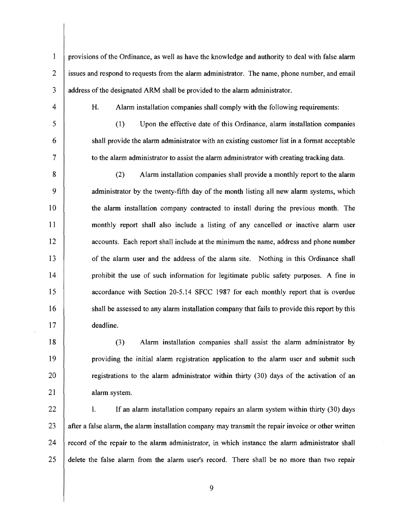1 provisions of the Ordinance, as well as have the knowledge and authority to deal with false alann 2 issues and respond to requests from the alarm administrator. The name, phone number, and email 3 address of the designated ARM shall be provided to the alarm administrator.

4

5

6

7

20

21

18

19

H. Alarm installation companies shall comply with the following requirements:

(1) Upon the effective date of this Ordinance, alarm installation companies shall provide the alann administrator with an existing customer list in a format acceptable to the alarm administrator to assist the alarm administrator with creating tracking data.

10 15 8 9 11 12 13 14 16 17 (2) Alarm installation companies shall provide a monthly report to the alann administrator by the twenty-fifth day of the month listing all new alann systems, which the alarm installation company contracted to install during the previous month. The monthly report shall also include a listing of any cancelled or inactive alann user accounts. Each report shall include at the minimum the name, address and phone number of the alarm user and the address of the alarm site. Nothing in this Ordinance shall prohibit the use of such information for legitimate public safety purposes. A fine in accordance with Section 20-5.14 SFCC 1987 for each monthly report that is overdue shall be assessed to any alarm installation company that fails to provide this report by this deadline.

(3) Alarm installation companies shall assist the alarm administrator by providing the initial alarm registration application to the alarm user and submit such registrations to the alarm administrator within thirty (30) days of the activation of an alarm system.

25 22 23 24 1. If an alarm installation company repairs an alarm system within thirty (30) days after a false alarm, the alarm installation company may transmit the repair invoice or other written record of the repair to the alann administrator, in which instance the alarm administrator shall delete the false alarm from the alarm user's record. There shall be no more than two repair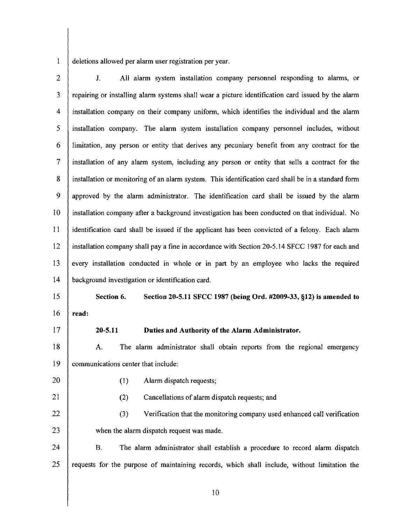1 deletions allowed per alarm user registration per year.

- 2 3 4 5 6 7 8 9 10 11 12 13 14 15 16 17 18 19 20 J. All alarm system installation company personnel responding to alarms, or repairing or installing alarm systems shall wear a picture identification card issued by the alarm installation company on their company uniform, which identifies the individual and the alarm installation company. The alarm system installation company personnel includes, without limitation, any person or entity that derives any pecuniary benefit from any contract for the installation of any alarm system, including any person or entity that sells a contract for the installation or monitoring of an alarm system. This identification card shall be in a standard form approved by the alarm administrator. The identification card shall be issued by the alarm installation company after a background investigation has been conducted on that individual. No identification card shall be issued if the applicant has been convicted of a felony. Each alarm installation company shall pay a fine in accordance with Section 20-5.14 SFCC 1987 for each and every installation conducted in whole or in part by an employee who lacks the required background investigation or identification card. Section 6. Section 20-5.11 SFCC 1987 (being Ord. #2009-33, §12) is amended to read: 20-5.11 Duties and Authority of the Alarm Administrator. A. The alarm administrator shall obtain reports from the regional emergency communications center that include: (1) Alarm dispatch requests;
	-

21

## (2) Cancellations of alarm dispatch requests; and

- 22 23 (3) Verification that the monitoring company used enhanced call verification when the alarm dispatch request was made.
- 24 25 B. The alarm administrator shall establish a procedure to record alarm dispatch requests for the purpose of maintaining records, which shall include, without limitation the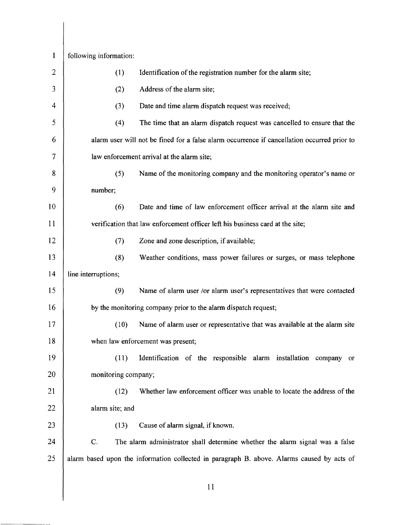| 1              | following information:            |                                                                                             |  |  |
|----------------|-----------------------------------|---------------------------------------------------------------------------------------------|--|--|
| $\overline{2}$ | (1)                               | Identification of the registration number for the alarm site;                               |  |  |
| 3              | (2)                               | Address of the alarm site;                                                                  |  |  |
| 4              | (3)                               | Date and time alarm dispatch request was received;                                          |  |  |
| 5              | (4)                               | The time that an alarm dispatch request was cancelled to ensure that the                    |  |  |
| 6              |                                   | alarm user will not be fined for a false alarm occurrence if cancellation occurred prior to |  |  |
| 7              |                                   | law enforcement arrival at the alarm site;                                                  |  |  |
| 8              | (5)                               | Name of the monitoring company and the monitoring operator's name or                        |  |  |
| 9              | number;                           |                                                                                             |  |  |
| 10             | (6)                               | Date and time of law enforcement officer arrival at the alarm site and                      |  |  |
| 11             |                                   | verification that law enforcement officer left his business card at the site;               |  |  |
| 12             | (7)                               | Zone and zone description, if available;                                                    |  |  |
| 13             | (8)                               | Weather conditions, mass power failures or surges, or mass telephone                        |  |  |
| 14             | line interruptions;               |                                                                                             |  |  |
| 15             | (9)                               | Name of alarm user /or alarm user's representatives that were contacted                     |  |  |
| 16             |                                   | by the monitoring company prior to the alarm dispatch request;                              |  |  |
| 17             | (10)                              | Name of alarm user or representative that was available at the alarm site                   |  |  |
| 18             | when law enforcement was present; |                                                                                             |  |  |
| 19             | (11)                              | Identification of the responsible alarm installation company or                             |  |  |
| 20             | monitoring company;               |                                                                                             |  |  |
| 21             | (12)                              | Whether law enforcement officer was unable to locate the address of the                     |  |  |
| 22             | alarm site; and                   |                                                                                             |  |  |
| 23             | (13)                              | Cause of alarm signal, if known.                                                            |  |  |
| 24             | $C$ .                             | The alarm administrator shall determine whether the alarm signal was a false                |  |  |
| 25             |                                   | alarm based upon the information collected in paragraph B. above. Alarms caused by acts of  |  |  |
|                |                                   |                                                                                             |  |  |
|                |                                   | 11                                                                                          |  |  |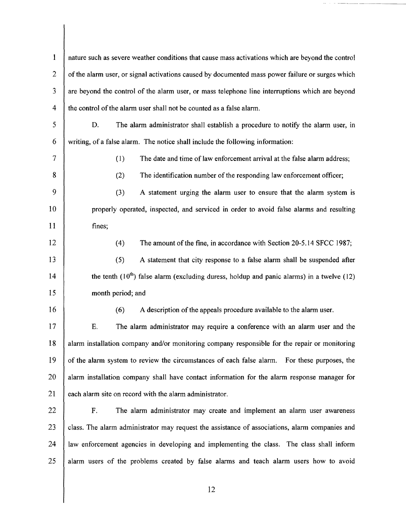1 2 3 4 5 6 7 8 9 10 11 12 13 14 15 16 17 18 19 20 21 22 23 24 25 nature such as severe weather conditions that cause mass activations which are beyond the control ofthe alarm user, or signal activations caused by documented mass power failure or surges which are beyond the control of the alarm user, or mass telephone line interruptions which are beyond the control of the alarm user shall not be counted as a false alarm. D. The alarm administrator shall establish a procedure to notify the alarm user, in writing, of a false alarm. The notice shall include the following information: (1) The date and time of law enforcement arrival at the false alarm address;  $(2)$  The identification number of the responding law enforcement officer; (3) A statement urging the alarm user to ensure that the alarm system is properly operated, inspected, and serviced in order to avoid false alarms and resulting fines; (4) The amount ofthe fine, in accordance with Section 20-5.14 SFCC 1987; (5) A statement that city response to a false alarm shall be suspended after the tenth  $(10<sup>th</sup>)$  false alarm (excluding duress, holdup and panic alarms) in a twelve (12) month period; and  $(6)$  A description of the appeals procedure available to the alarm user. E. The alarm administrator may require a conference with an alarm user and the alarm installation company and/or monitoring company responsible for the repair or monitoring of the alarm system to review the circumstances of each false alarm. For these purposes, the alarm installation company shall have contact information for the alarm response manager for each alarm site on record with the alarm administrator. F. The alarm administrator may create and implement an alarm user awareness class. The alarm administrator may request the assistance of associations, alarm companies and law enforcement agencies in developing and implementing the class. The class shall inform alarm users of the problems created by false alarms and teach alarm users how to avoid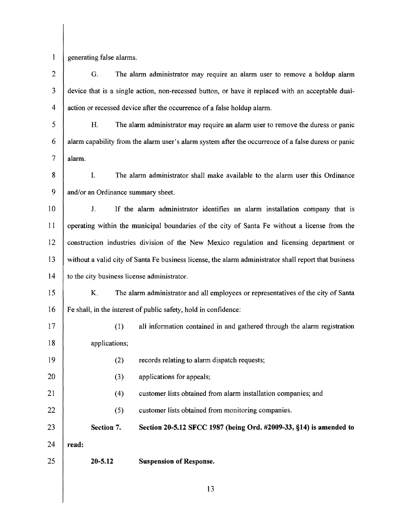$\mathbf{1}$ 

generating false alarms.

5 10 15 20 25 2 3 4 6 7 8 9 11 12 13 14 16 17 18 19 21 22 23 24 G. The alarm administrator may require an alarm user to remove a holdup alarm device that is a single action, non-recessed button, or have it replaced with an acceptable dualaction or recessed device after the occurrence of a false holdup alarm. H. The alarm administrator may require an alarm user to remove the duress or panic alarm capability from the alarm user's alarm system after the occurrence of a false duress or panic alarm. 1. The alarm administrator shall make available to the alarm user this Ordinance and/or an Ordinance summary sheet. J. If the alarm administrator identifies an alarm installation company that is operating within the municipal boundaries of the city of Santa Fe without a license from the construction industries division of the New Mexico regulation and licensing department or without a valid city of Santa Fe business license, the alarm administrator shall report that business to the city business license administrator. K. The alarm administrator and all employees or representatives of the city of Santa Fe shall, in the interest of public safety, hold in confidence: (1) all information contained in and gathered through the alarm registration applications; (2) records relating to alarm dispatch requests; (3) applications for appeals; (4) customer lists obtained from alarm installation companies; and (5) customer lists obtained from monitoring companies. Section 7. Section 20-5.12 SFCC 1987 (being Ord. #2009-33, §14) is amended to read: 20-5.12 Suspension of Response.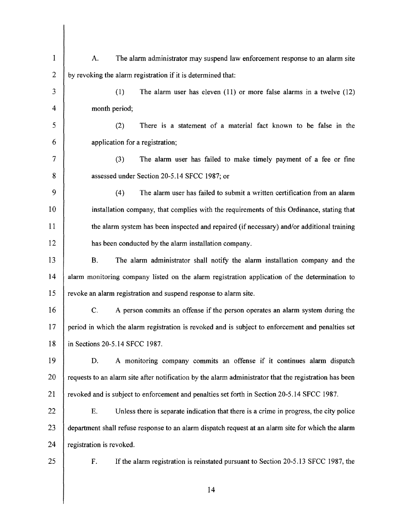| 1            | The alarm administrator may suspend law enforcement response to an alarm site<br>A.                    |  |  |  |
|--------------|--------------------------------------------------------------------------------------------------------|--|--|--|
| $\mathbf{2}$ | by revoking the alarm registration if it is determined that:                                           |  |  |  |
| 3            | (1)<br>The alarm user has eleven $(11)$ or more false alarms in a twelve $(12)$                        |  |  |  |
| 4            | month period;                                                                                          |  |  |  |
| 5            | There is a statement of a material fact known to be false in the<br>(2)                                |  |  |  |
| 6            | application for a registration;                                                                        |  |  |  |
| $\tau$       | (3)<br>The alarm user has failed to make timely payment of a fee or fine                               |  |  |  |
| 8            | assessed under Section 20-5.14 SFCC 1987; or                                                           |  |  |  |
| 9            | The alarm user has failed to submit a written certification from an alarm<br>(4)                       |  |  |  |
| 10           | installation company, that complies with the requirements of this Ordinance, stating that              |  |  |  |
| 11           | the alarm system has been inspected and repaired (if necessary) and/or additional training             |  |  |  |
| 12           | has been conducted by the alarm installation company.                                                  |  |  |  |
| 13           | The alarm administrator shall notify the alarm installation company and the<br>В.                      |  |  |  |
| 14           | alarm monitoring company listed on the alarm registration application of the determination to          |  |  |  |
| 15           | revoke an alarm registration and suspend response to alarm site.                                       |  |  |  |
| 16           | C.<br>A person commits an offense if the person operates an alarm system during the                    |  |  |  |
| 17           | period in which the alarm registration is revoked and is subject to enforcement and penalties set      |  |  |  |
| 18           | in Sections 20-5.14 SFCC 1987.                                                                         |  |  |  |
| 19           | A monitoring company commits an offense if it continues alarm dispatch<br>D.                           |  |  |  |
| 20           | requests to an alarm site after notification by the alarm administrator that the registration has been |  |  |  |
| 21           | revoked and is subject to enforcement and penalties set forth in Section 20-5.14 SFCC 1987.            |  |  |  |
| 22           | Unless there is separate indication that there is a crime in progress, the city police<br>E.           |  |  |  |
| 23           | department shall refuse response to an alarm dispatch request at an alarm site for which the alarm     |  |  |  |
| 24           | registration is revoked.                                                                               |  |  |  |
| 25           | F.<br>If the alarm registration is reinstated pursuant to Section 20-5.13 SFCC 1987, the               |  |  |  |
|              | 14                                                                                                     |  |  |  |
|              |                                                                                                        |  |  |  |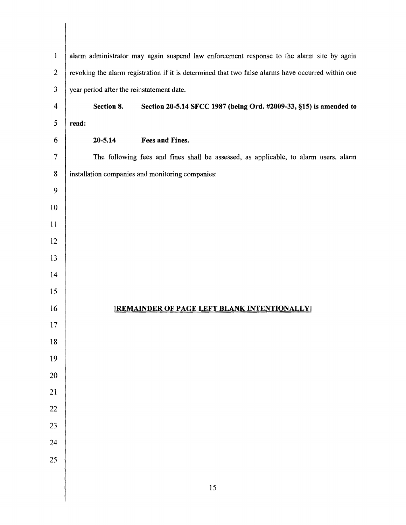| $\mathbf{I}$            | alarm administrator may again suspend law enforcement response to the alarm site by again          |                                                                                      |  |  |  |  |  |
|-------------------------|----------------------------------------------------------------------------------------------------|--------------------------------------------------------------------------------------|--|--|--|--|--|
| $\overline{c}$          | revoking the alarm registration if it is determined that two false alarms have occurred within one |                                                                                      |  |  |  |  |  |
| $\overline{\mathbf{3}}$ | year period after the reinstatement date.                                                          |                                                                                      |  |  |  |  |  |
| $\overline{4}$          | Section 8.<br>Section 20-5.14 SFCC 1987 (being Ord. #2009-33, §15) is amended to                   |                                                                                      |  |  |  |  |  |
| 5                       | read:                                                                                              |                                                                                      |  |  |  |  |  |
| 6                       | Fees and Fines.<br>$20 - 5.14$                                                                     |                                                                                      |  |  |  |  |  |
| $\overline{7}$          |                                                                                                    | The following fees and fines shall be assessed, as applicable, to alarm users, alarm |  |  |  |  |  |
| 8                       | installation companies and monitoring companies:                                                   |                                                                                      |  |  |  |  |  |
| 9                       |                                                                                                    |                                                                                      |  |  |  |  |  |
| 10                      |                                                                                                    |                                                                                      |  |  |  |  |  |
| 11                      |                                                                                                    |                                                                                      |  |  |  |  |  |
| 12                      |                                                                                                    |                                                                                      |  |  |  |  |  |
| 13                      |                                                                                                    |                                                                                      |  |  |  |  |  |
| 14                      |                                                                                                    |                                                                                      |  |  |  |  |  |
| 15                      |                                                                                                    |                                                                                      |  |  |  |  |  |
| 16                      | [REMAINDER OF PAGE LEFT BLANK INTENTIONALLY]                                                       |                                                                                      |  |  |  |  |  |
| 17                      |                                                                                                    |                                                                                      |  |  |  |  |  |
| 18                      |                                                                                                    |                                                                                      |  |  |  |  |  |
| 19                      |                                                                                                    |                                                                                      |  |  |  |  |  |
| 20                      |                                                                                                    |                                                                                      |  |  |  |  |  |
| 21                      |                                                                                                    |                                                                                      |  |  |  |  |  |
| 22                      |                                                                                                    |                                                                                      |  |  |  |  |  |
| 23                      |                                                                                                    |                                                                                      |  |  |  |  |  |
| 24                      |                                                                                                    |                                                                                      |  |  |  |  |  |
| 25                      |                                                                                                    |                                                                                      |  |  |  |  |  |
|                         | 15                                                                                                 |                                                                                      |  |  |  |  |  |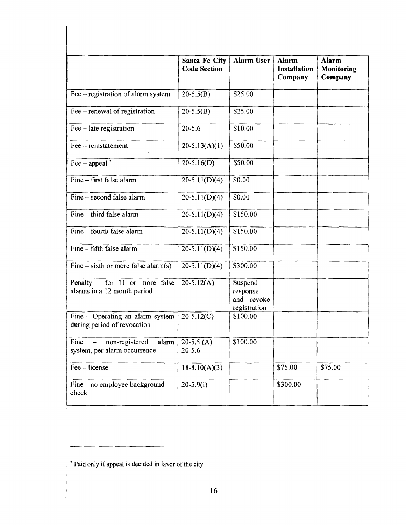|                                                                 | <b>Santa Fe City</b><br><b>Code Section</b> | <b>Alarm User</b>                                 | <b>Alarm</b><br><b>Installation</b><br>Company | <b>Alarm</b><br>Monitoring<br>Company |
|-----------------------------------------------------------------|---------------------------------------------|---------------------------------------------------|------------------------------------------------|---------------------------------------|
| Fee – registration of alarm system                              | $20-5.5(B)$                                 | \$25.00                                           |                                                |                                       |
| Fee – renewal of registration                                   | $20-5.5(B)$                                 | \$25.00                                           |                                                |                                       |
| Fee - late registration                                         | $20 - 5.6$                                  | \$10.00                                           |                                                |                                       |
| Fee - reinstatement                                             | $20-5.13(A)(1)$                             | \$50.00                                           |                                                |                                       |
| $\text{Fee}-\text{appeal}^*$                                    | $20-5.16(D)$                                | \$50.00                                           |                                                |                                       |
| Fine - first false alarm                                        | $20-5.11(D)(4)$                             | \$0.00                                            |                                                |                                       |
| Fine - second false alarm                                       | $20-5.11(D)(4)$                             | \$0.00                                            |                                                |                                       |
| Fine - third false alarm                                        | $20-5.11(D)(4)$                             | \$150,00                                          |                                                |                                       |
| Fine – fourth false alarm                                       | $20-5.11(D)(4)$                             | \$150.00                                          |                                                |                                       |
| Fine - fifth false alarm                                        | $20-5.11(D)(4)$                             | \$150.00                                          |                                                |                                       |
| $Fine - sixth$ or more false alarm(s)                           | $20-5.11(D)(4)$                             | \$300.00                                          |                                                |                                       |
| Penalty - for 11 or more false<br>alarms in a 12 month period   | $20-5.12(A)$                                | Suspend<br>response<br>and revoke<br>registration |                                                |                                       |
| Fine – Operating an alarm system<br>during period of revocation | $20-5.12(C)$                                | \$100.00                                          |                                                |                                       |
| Fine<br>non-registered<br>alarm<br>system, per alarm occurrence | 20-5.5 $(A)$<br>$20 - 5.6$                  | \$100.00                                          |                                                |                                       |
| Fee - license                                                   | $18-8.10(A)(3)$                             |                                                   | \$75.00                                        | \$75.00                               |
| Fine - no employee background<br>check                          | $20-5.9(I)$                                 |                                                   | \$300.00                                       |                                       |

\* Paid only if appeal is decided in favor of the city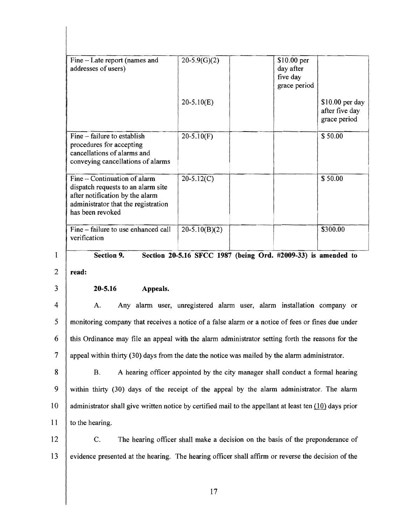| Fine – Late report (names and<br>addresses of users)                                                                                                             | $20-5.9(G)(2)$  | \$10.00 per<br>day after<br>five day<br>grace period |                                                    |
|------------------------------------------------------------------------------------------------------------------------------------------------------------------|-----------------|------------------------------------------------------|----------------------------------------------------|
|                                                                                                                                                                  | $20-5.10(E)$    |                                                      | $$10.00$ per day<br>after five day<br>grace period |
| Fine – failure to establish<br>procedures for accepting<br>cancellations of alarms and<br>conveying cancellations of alarms                                      | $20-5.10(F)$    |                                                      | \$50.00                                            |
| Fine – Continuation of alarm<br>dispatch requests to an alarm site<br>after notification by the alarm<br>administrator that the registration<br>has been revoked | $20-5.12(C)$    |                                                      | \$50.00                                            |
| Fine - failure to use enhanced call<br>verification                                                                                                              | $20-5.10(B)(2)$ |                                                      | \$300.00                                           |

## **Section 9. Section 20-5.16 SFCC 1987 (being Ord. #2009-33) is amended to**

2 **read:** 

3

## **20-5.16 Appeals.**

4 5 6 7 A. Any alarm user, unregistered alarm user, alarm installation company or monitoring company that receives a notice of a false alarm or a notice of fees or fines due under this Ordinance may file an appeal with the alarm administrator setting forth the reasons for the appeal within thirty (30) days from the date the notice was mailed by the alarm administrator.

8 9 10 11 B. A hearing officer appointed by the city manager shall conduct a formal hearing within thirty (30) days of the receipt of the appeal by the alarm administrator. The alarm administrator shall give written notice by certified mail to the appellant at least ten  $(10)$  days prior to the hearing.

12 13 C. The hearing officer shall make a decision on the basis of the preponderance of evidence presented at the hearing. The hearing officer shall affirm or reverse the decision of the